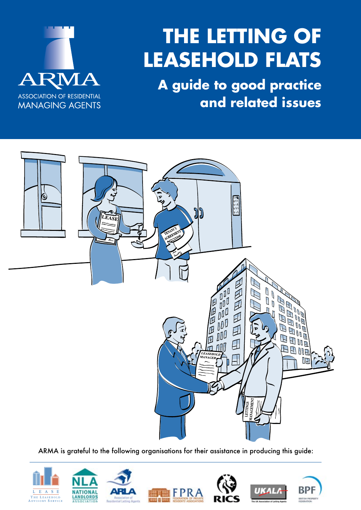

# **The Letting of Leasehold Flats**

**A guide to good practice and related issues** 



ARMA is grateful to the following organisations for their assistance in producing this guide:

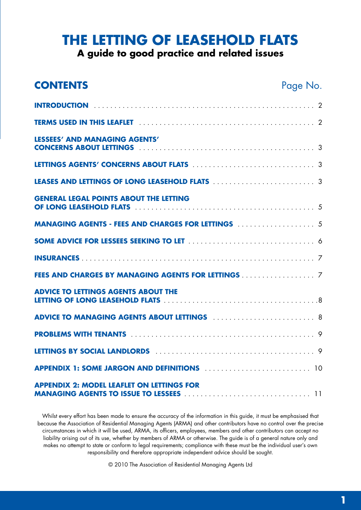## **The Letting of Leasehold Flats**

**A guide to good practice and related issues**

| <b>CONTENTS</b>                                                                                    | Page No. |
|----------------------------------------------------------------------------------------------------|----------|
|                                                                                                    |          |
|                                                                                                    |          |
| LESSEES' AND MANAGING AGENTS'                                                                      |          |
|                                                                                                    |          |
|                                                                                                    |          |
| <b>GENERAL LEGAL POINTS ABOUT THE LETTING</b><br>OF LONG LEASEHOLD FLATS                           |          |
|                                                                                                    |          |
|                                                                                                    |          |
|                                                                                                    |          |
| FEES AND CHARGES BY MANAGING AGENTS FOR LETTINGS 7                                                 |          |
| <b>ADVICE TO LETTINGS AGENTS ABOUT THE</b>                                                         |          |
| ADVICE TO MANAGING AGENTS ABOUT LETTINGS  8                                                        |          |
|                                                                                                    |          |
|                                                                                                    |          |
| <b>APPENDIX 1: SOME JARGON AND DEFINITIONS ACCULATE ACCEPTENDIX 1: SOME JARGON AND DEFINITIONS</b> |          |
| <b>APPENDIX 2: MODEL LEAFLET ON LETTINGS FOR</b>                                                   |          |

Whilst every effort has been made to ensure the accuracy of the information in this guide, it must be emphasised that because the Association of Residential Managing Agents (ARMA) and other contributors have no control over the precise circumstances in which it will be used, ARMA, its officers, employees, members and other contributors can accept no liability arising out of its use, whether by members of ARMA or otherwise. The guide is of a general nature only and makes no attempt to state or conform to legal requirements; compliance with these must be the individual user's own responsibility and therefore appropriate independent advice should be sought.

© 2010 The Association of Residential Managing Agents Ltd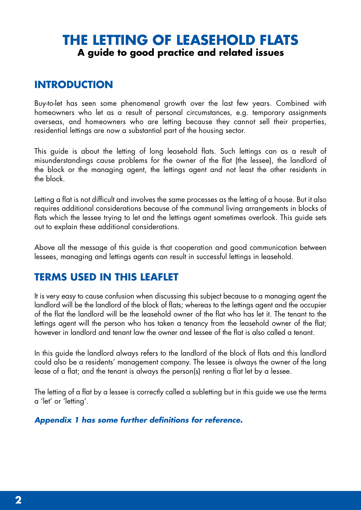## **The Letting of Leasehold Flats A guide to good practice and related issues**

### **INTRODUCTION**

Buy-to-let has seen some phenomenal growth over the last few years. Combined with homeowners who let as a result of personal circumstances, e.g. temporary assignments overseas, and homeowners who are letting because they cannot sell their properties, residential lettings are now a substantial part of the housing sector.

This guide is about the letting of long leasehold flats. Such lettings can as a result of misunderstandings cause problems for the owner of the flat (the lessee), the landlord of the block or the managing agent, the lettings agent and not least the other residents in the block.

Letting a flat is not difficult and involves the same processes as the letting of a house. But it also requires additional considerations because of the communal living arrangements in blocks of flats which the lessee trying to let and the lettings agent sometimes overlook. This guide sets out to explain these additional considerations.

Above all the message of this guide is that cooperation and good communication between lessees, managing and lettings agents can result in successful lettings in leasehold.

#### **TERMS USED IN THIS LEAFLET**

It is very easy to cause confusion when discussing this subject because to a managing agent the landlord will be the landlord of the block of flats; whereas to the lettings agent and the occupier of the flat the landlord will be the leasehold owner of the flat who has let it. The tenant to the lettings agent will the person who has taken a tenancy from the leasehold owner of the flat; however in landlord and tenant law the owner and lessee of the flat is also called a tenant.

In this guide the landlord always refers to the landlord of the block of flats and this landlord could also be a residents' management company. The lessee is always the owner of the long lease of a flat; and the tenant is always the person(s) renting a flat let by a lessee.

The letting of a flat by a lessee is correctly called a subletting but in this guide we use the terms a 'let' or 'letting'.

*Appendix 1 has some further definitions for reference.*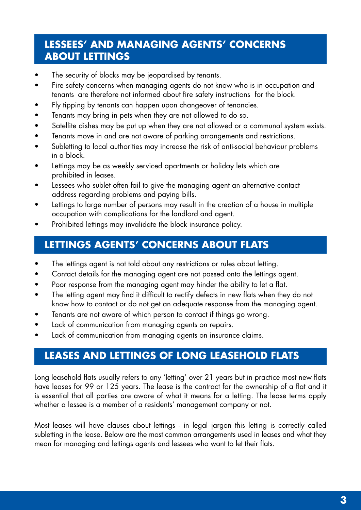## **Lessees' and Managing Agents' Concerns about Lettings**

- The security of blocks may be jeopardised by tenants.
- Fire safety concerns when managing agents do not know who is in occupation and tenants are therefore not informed about fire safety instructions for the block.
- Fly tipping by tenants can happen upon changeover of tenancies.
- Tenants may bring in pets when they are not allowed to do so.
- Satellite dishes may be put up when they are not allowed or a communal system exists.
- Tenants move in and are not aware of parking arrangements and restrictions.
- Subletting to local authorities may increase the risk of anti-social behaviour problems in a block.
- Lettings may be as weekly serviced apartments or holiday lets which are prohibited in leases.
- Lessees who sublet often fail to give the managing agent an alternative contact address regarding problems and paying bills.
- Lettings to large number of persons may result in the creation of a house in multiple occupation with complications for the landlord and agent.
- Prohibited lettings may invalidate the block insurance policy.

## **Lettings Agents' Concerns about Flats**

- The lettings agent is not told about any restrictions or rules about letting.
- Contact details for the managing agent are not passed onto the lettings agent.
- Poor response from the managing agent may hinder the ability to let a flat.
- The letting agent may find it difficult to rectify defects in new flats when they do not know how to contact or do not get an adequate response from the managing agent.
- Tenants are not aware of which person to contact if things go wrong.
- Lack of communication from managing agents on repairs.
- Lack of communication from managing agents on insurance claims.

## **Leases and Lettings of Long Leasehold Flats**

Long leasehold flats usually refers to any 'letting' over 21 years but in practice most new flats have leases for 99 or 125 years. The lease is the contract for the ownership of a flat and it is essential that all parties are aware of what it means for a letting. The lease terms apply whether a lessee is a member of a residents' management company or not.

Most leases will have clauses about lettings - in legal jargon this letting is correctly called subletting in the lease. Below are the most common arrangements used in leases and what they mean for managing and lettings agents and lessees who want to let their flats.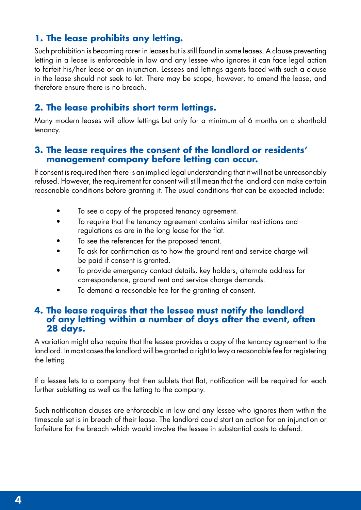#### **1. The lease prohibits any letting.**

Such prohibition is becoming rarer in leases but is still found in some leases. A clause preventing letting in a lease is enforceable in law and any lessee who ignores it can face legal action to forfeit his/her lease or an injunction. Lessees and lettings agents faced with such a clause in the lease should not seek to let. There may be scope, however, to amend the lease, and therefore ensure there is no breach.

#### **2. The lease prohibits short term lettings.**

Many modern leases will allow lettings but only for a minimum of 6 months on a shorthold tenancy.

#### **3. The lease requires the consent of the landlord or residents' management company before letting can occur.**

If consent is required then there is an implied legal understanding that it will not be unreasonably refused. However, the requirement for consent will still mean that the landlord can make certain reasonable conditions before granting it. The usual conditions that can be expected include:

- To see a copy of the proposed tenancy agreement.
- To require that the tenancy agreement contains similar restrictions and regulations as are in the long lease for the flat.
- To see the references for the proposed tenant.
- To ask for confirmation as to how the ground rent and service charge will be paid if consent is granted.
- To provide emergency contact details, key holders, alternate address for correspondence, ground rent and service charge demands.
- To demand a reasonable fee for the granting of consent.

#### **4. The lease requires that the lessee must notify the landlord of any letting within a number of days after the event, often 28 days.**

A variation might also require that the lessee provides a copy of the tenancy agreement to the landlord. In most cases the landlord will be granted a right to levy a reasonable fee for registering the letting.

If a lessee lets to a company that then sublets that flat, notification will be required for each further subletting as well as the letting to the company.

Such notification clauses are enforceable in law and any lessee who ignores them within the timescale set is in breach of their lease. The landlord could start an action for an injunction or forfeiture for the breach which would involve the lessee in substantial costs to defend.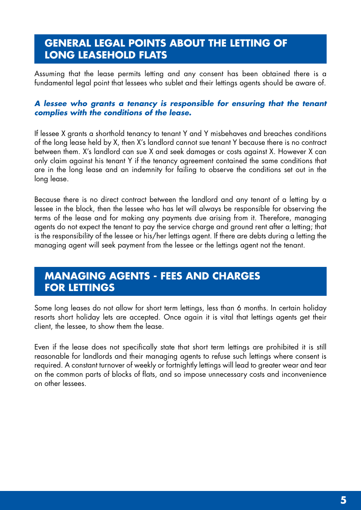## **General Legal Points about the Letting of Long Leasehold Flats**

Assuming that the lease permits letting and any consent has been obtained there is a fundamental legal point that lessees who sublet and their lettings agents should be aware of.

#### *A lessee who grants a tenancy is responsible for ensuring that the tenant complies with the conditions of the lease.*

If lessee X grants a shorthold tenancy to tenant Y and Y misbehaves and breaches conditions of the long lease held by X, then X's landlord cannot sue tenant Y because there is no contract between them. X's landlord can sue X and seek damages or costs against X. However X can only claim against his tenant Y if the tenancy agreement contained the same conditions that are in the long lease and an indemnity for failing to observe the conditions set out in the long lease.

Because there is no direct contract between the landlord and any tenant of a letting by a lessee in the block, then the lessee who has let will always be responsible for observing the terms of the lease and for making any payments due arising from it. Therefore, managing agents do not expect the tenant to pay the service charge and ground rent after a letting; that is the responsibility of the lessee or his/her lettings agent. If there are debts during a letting the managing agent will seek payment from the lessee or the lettings agent not the tenant.

#### **MANAGING AGENTS - FEES AND CHARGES FOR LETTINGS**

Some long leases do not allow for short term lettings, less than 6 months. In certain holiday resorts short holiday lets are accepted. Once again it is vital that lettings agents get their client, the lessee, to show them the lease.

Even if the lease does not specifically state that short term lettings are prohibited it is still reasonable for landlords and their managing agents to refuse such lettings where consent is required. A constant turnover of weekly or fortnightly lettings will lead to greater wear and tear on the common parts of blocks of flats, and so impose unnecessary costs and inconvenience on other lessees.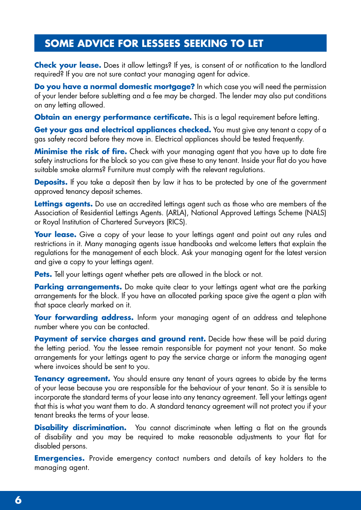## **Some Advice for Lessees Seeking to Let**

**Check your lease.** Does it allow lettings? If yes, is consent of or notification to the landlord required? If you are not sure contact your managing agent for advice.

**Do you have a normal domestic mortgage?** In which case you will need the permission of your lender before subletting and a fee may be charged. The lender may also put conditions on any letting allowed.

**Obtain an energy performance certificate.** This is a legal requirement before letting.

**Get your gas and electrical appliances checked.** You must give any tenant a copy of a gas safety record before they move in. Electrical appliances should be tested frequently.

**Minimise the risk of fire.** Check with your managing agent that you have up to date fire safety instructions for the block so you can give these to any tenant. Inside your flat do you have suitable smoke alarms? Furniture must comply with the relevant regulations.

**Deposits.** If you take a deposit then by law it has to be protected by one of the government approved tenancy deposit schemes.

**Lettings gaents.** Do use an accredited lettings agent such as those who are members of the Association of Residential Lettings Agents. (ARLA), National Approved Lettings Scheme (NALS) or Royal Institution of Chartered Surveyors (RICS).

**Your lease.** Give a copy of your lease to your lettings agent and point out any rules and restrictions in it. Many managing agents issue handbooks and welcome letters that explain the regulations for the management of each block. Ask your managing agent for the latest version and give a copy to your lettings agent.

**Pets.** Tell your lettings agent whether pets are allowed in the block or not.

**Parking arrangements.** Do make quite clear to your lettings agent what are the parking arrangements for the block. If you have an allocated parking space give the agent a plan with that space clearly marked on it.

**Your forwarding address.** Inform your managing agent of an address and telephone number where you can be contacted.

**Payment of service charges and ground rent.** Decide how these will be paid during the letting period. You the lessee remain responsible for payment not your tenant. So make arrangements for your lettings agent to pay the service charge or inform the managing agent where invoices should be sent to you.

**Tenancy agreement.** You should ensure any tenant of yours agrees to abide by the terms of your lease because you are responsible for the behaviour of your tenant. So it is sensible to incorporate the standard terms of your lease into any tenancy agreement. Tell your lettings agent that this is what you want them to do. A standard tenancy agreement will not protect you if your tenant breaks the terms of your lease.

**Disability discrimination.** You cannot discriminate when letting a flat on the grounds of disability and you may be required to make reasonable adjustments to your flat for disabled persons.

**Emergencies.** Provide emergency contact numbers and details of key holders to the managing agent.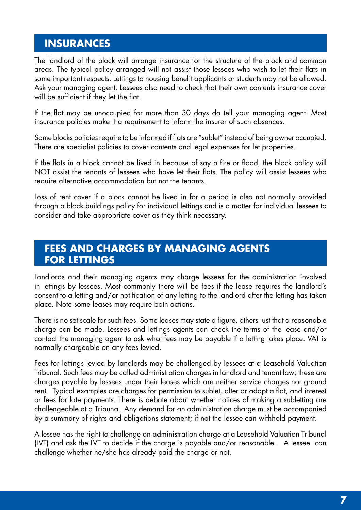### **Insurances**

The landlord of the block will arrange insurance for the structure of the block and common areas. The typical policy arranged will not assist those lessees who wish to let their flats in some important respects. Lettings to housing benefit applicants or students may not be allowed. Ask your managing agent. Lessees also need to check that their own contents insurance cover will be sufficient if they let the flat.

If the flat may be unoccupied for more than 30 days do tell your managing agent. Most insurance policies make it a requirement to inform the insurer of such absences.

Some blocks policies require to be informed if flats are "sublet" instead of being owner occupied. There are specialist policies to cover contents and legal expenses for let properties.

If the flats in a block cannot be lived in because of say a fire or flood, the block policy will NOT assist the tenants of lessees who have let their flats. The policy will assist lessees who require alternative accommodation but not the tenants.

Loss of rent cover if a block cannot be lived in for a period is also not normally provided through a block buildings policy for individual lettings and is a matter for individual lessees to consider and take appropriate cover as they think necessary.

#### **Fees and Charges by Managing Agents for Lettings**

Landlords and their managing agents may charge lessees for the administration involved in lettings by lessees. Most commonly there will be fees if the lease requires the landlord's consent to a letting and/or notification of any letting to the landlord after the letting has taken place. Note some leases may require both actions.

There is no set scale for such fees. Some leases may state a figure, others just that a reasonable charge can be made. Lessees and lettings agents can check the terms of the lease and/or contact the managing agent to ask what fees may be payable if a letting takes place. VAT is normally chargeable on any fees levied.

Fees for lettings levied by landlords may be challenged by lessees at a Leasehold Valuation Tribunal. Such fees may be called administration charges in landlord and tenant law; these are charges payable by lessees under their leases which are neither service charges nor ground rent. Typical examples are charges for permission to sublet, alter or adapt a flat, and interest or fees for late payments. There is debate about whether notices of making a subletting are challengeable at a Tribunal. Any demand for an administration charge must be accompanied by a summary of rights and obligations statement; if not the lessee can withhold payment.

A lessee has the right to challenge an administration charge at a Leasehold Valuation Tribunal (LVT) and ask the LVT to decide if the charge is payable and/or reasonable. A lessee can challenge whether he/she has already paid the charge or not.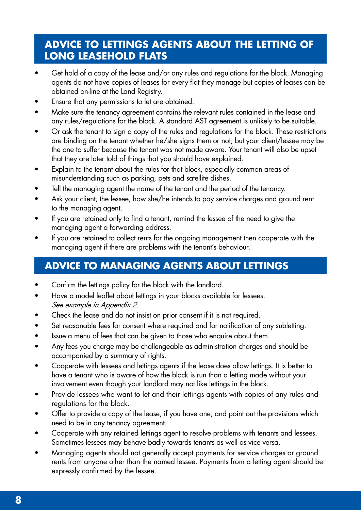## **Advice to Lettings Agents about the Letting of Long Leasehold Flats**

- Get hold of a copy of the lease and/or any rules and regulations for the block. Managing agents do not have copies of leases for every flat they manage but copies of leases can be obtained on-line at the Land Registry.
- Ensure that any permissions to let are obtained.
- Make sure the tenancy agreement contains the relevant rules contained in the lease and any rules/regulations for the block. A standard AST agreement is unlikely to be suitable.
- Or ask the tenant to sign a copy of the rules and regulations for the block. These restrictions are binding on the tenant whether he/she signs them or not; but your client/lessee may be the one to suffer because the tenant was not made aware. Your tenant will also be upset that they are later told of things that you should have explained.
- Explain to the tenant about the rules for that block, especially common areas of misunderstanding such as parking, pets and satellite dishes.
- Tell the managing agent the name of the tenant and the period of the tenancy.
- Ask your client, the lessee, how she/he intends to pay service charges and ground rent to the managing agent.
- If you are retained only to find a tenant, remind the lessee of the need to give the managing agent a forwarding address.
- If you are retained to collect rents for the ongoing management then cooperate with the managing agent if there are problems with the tenant's behaviour.

## **Advice to Managing Agents about Lettings**

- Confirm the lettings policy for the block with the landlord.
- Have a model leaflet about lettings in your blocks available for lessees. See example in Appendix 2.
- Check the lease and do not insist on prior consent if it is not required.
- Set reasonable fees for consent where required and for notification of any subletting.
- Issue a menu of fees that can be given to those who enquire about them.
- Any fees you charge may be challengeable as administration charges and should be accompanied by a summary of rights.
- Cooperate with lessees and lettings agents if the lease does allow lettings. It is better to have a tenant who is aware of how the block is run than a letting made without your involvement even though your landlord may not like lettings in the block.
- Provide lessees who want to let and their lettings agents with copies of any rules and regulations for the block.
- Offer to provide a copy of the lease, if you have one, and point out the provisions which need to be in any tenancy agreement.
- Cooperate with any retained lettings agent to resolve problems with tenants and lessees. Sometimes lessees may behave badly towards tenants as well as vice versa.
- Managing agents should not generally accept payments for service charges or ground rents from anyone other than the named lessee. Payments from a letting agent should be expressly confirmed by the lessee.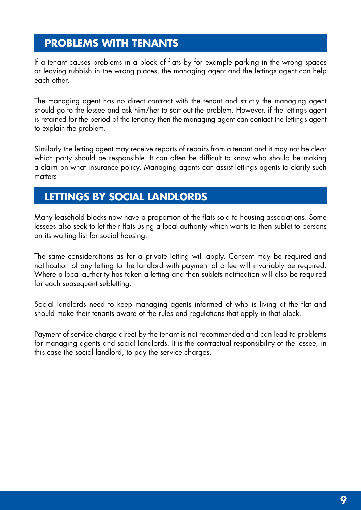## **Problems with Tenants**

If a tenant causes problems in a block of flats by for example parking in the wrong spaces or leaving rubbish in the wrong places, the managing agent and the lettings agent can help each other.

The managing agent has no direct contract with the tenant and strictly the managing agent should go to the lessee and ask him/her to sort out the problem. However, if the lettings agent is retained for the period of the tenancy then the managing agent can contact the lettings agent to explain the problem.

Similarly the letting agent may receive reports of repairs from a tenant and it may not be clear which party should be responsible. It can often be difficult to know who should be making a claim on what insurance policy. Managing agents can assist lettings agents to clarify such matters.

#### **Lettings by Social Landlords**

Many leasehold blocks now have a proportion of the flats sold to housing associations. Some lessees also seek to let their flats using a local authority which wants to then sublet to persons on its waiting list for social housing.

The same considerations as for a private letting will apply. Consent may be required and notification of any letting to the landlord with payment of a fee will invariably be required. Where a local authority has taken a letting and then sublets notification will also be required for each subsequent subletting.

Social landlords need to keep managing agents informed of who is living at the flat and should make their tenants aware of the rules and regulations that apply in that block.

Payment of service charge direct by the tenant is not recommended and can lead to problems for managing agents and social landlords. It is the contractual responsibility of the lessee, in this case the social landlord, to pay the service charges.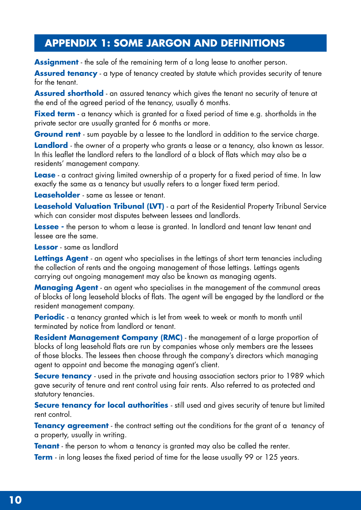## **APPENDIX 1: SOME JARGON AND DEFINITIONS**

**Assignment** - the sale of the remaining term of a long lease to another person.

**Assured tenancy** - a type of tenancy created by statute which provides security of tenure for the tenant.

**Assured shorthold** - an assured tenancy which gives the tenant no security of tenure at the end of the agreed period of the tenancy, usually 6 months.

**Fixed term** - a tenancy which is granted for a fixed period of time e.g. shortholds in the private sector are usually granted for 6 months or more.

**Ground rent** - sum payable by a lessee to the landlord in addition to the service charge.

**Landlord** - the owner of a property who grants a lease or a tenancy, also known as lessor. In this leaflet the landlord refers to the landlord of a block of flats which may also be a residents' management company.

**Lease** - a contract giving limited ownership of a property for a fixed period of time. In law exactly the same as a tenancy but usually refers to a longer fixed term period.

**Leaseholder** - same as lessee or tenant.

**Leasehold Valuation Tribunal (LVT)** - a part of the Residential Property Tribunal Service which can consider most disputes between lessees and landlords.

**Lessee** - the person to whom a lease is granted. In landlord and tenant law tenant and lessee are the same.

**Lessor** - same as landlord

**Lettings Agent** - an agent who specialises in the lettings of short term tenancies including the collection of rents and the ongoing management of those lettings. Lettings agents carrying out ongoing management may also be known as managing agents.

**Managing Agent** - an agent who specialises in the management of the communal areas of blocks of long leasehold blocks of flats. The agent will be engaged by the landlord or the resident management company.

**Periodic** - a tenancy granted which is let from week to week or month to month until terminated by notice from landlord or tenant.

**Resident Management Company (RMC)** - the management of a large proportion of blocks of long leasehold flats are run by companies whose only members are the lessees of those blocks. The lessees then choose through the company's directors which managing agent to appoint and become the managing agent's client.

**Secure tenancy** - used in the private and housing association sectors prior to 1989 which gave security of tenure and rent control using fair rents. Also referred to as protected and statutory tenancies.

**Secure tenancy for local authorities** - still used and gives security of tenure but limited rent control.

**Tenancy agreement** - the contract setting out the conditions for the grant of a tenancy of a property, usually in writing.

**Tenant** - the person to whom a tenancy is granted may also be called the renter.

**Term** - in long leases the fixed period of time for the lease usually 99 or 125 years.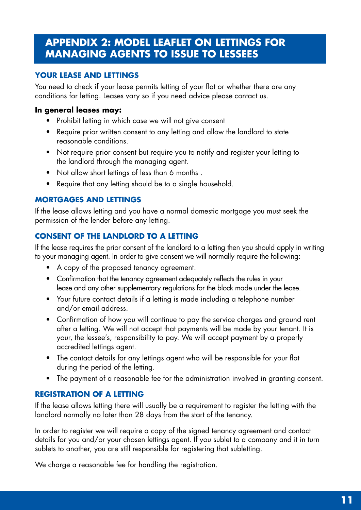## **APPENDIX 2: MODEL LEAFLET ON LETTINGS FOR MANAGING AGENTS TO ISSUE TO LESSEES**

#### **Your lease and lettings**

You need to check if your lease permits letting of your flat or whether there are any conditions for letting. Leases vary so if you need advice please contact us.

#### **In general leases may:**

- Prohibit letting in which case we will not give consent
- Require prior written consent to any letting and allow the landlord to state reasonable conditions.
- Not require prior consent but require you to notify and register your letting to the landlord through the managing agent.
- Not allow short lettings of less than 6 months.
- Require that any letting should be to a single household.

#### **Mortgages and Lettings**

If the lease allows letting and you have a normal domestic mortgage you must seek the permission of the lender before any letting.

#### **Consent of the Landlord to a Letting**

If the lease requires the prior consent of the landlord to a letting then you should apply in writing to your managing agent. In order to give consent we will normally require the following:

- A copy of the proposed tenancy agreement.
- Confirmation that the tenancy agreement adequately reflects the rules in your lease and any other supplementary regulations for the block made under the lease.
- • Your future contact details if a letting is made including a telephone number and/or email address.
- Confirmation of how you will continue to pay the service charges and ground rent after a letting. We will not accept that payments will be made by your tenant. It is your, the lessee's, responsibility to pay. We will accept payment by a properly accredited lettings agent.
- The contact details for any lettings agent who will be responsible for your flat during the period of the letting.
- The payment of a reasonable fee for the administration involved in granting consent.

#### **Registration of a Letting**

If the lease allows letting there will usually be a requirement to register the letting with the landlord normally no later than 28 days from the start of the tenancy.

In order to register we will require a copy of the signed tenancy agreement and contact details for you and/or your chosen lettings agent. If you sublet to a company and it in turn sublets to another, you are still responsible for registering that subletting.

We charge a reasonable fee for handling the registration.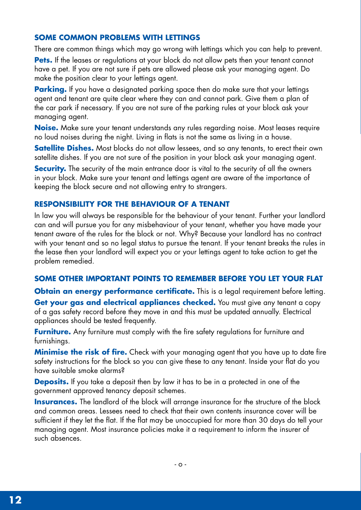#### **Some Common Problems with Lettings**

There are common things which may go wrong with lettings which you can help to prevent.

**Pets.** If the leases or regulations at your block do not allow pets then your tenant cannot have a pet. If you are not sure if pets are allowed please ask your managing agent. Do make the position clear to your lettings agent.

**Parking.** If you have a designated parking space then do make sure that your lettings agent and tenant are quite clear where they can and cannot park. Give them a plan of the car park if necessary. If you are not sure of the parking rules at your block ask your managing agent.

**Noise.** Make sure your tenant understands any rules regarding noise. Most leases require no loud noises during the night. Living in flats is not the same as living in a house.

**Satellite Dishes.** Most blocks do not allow lessees, and so any tenants, to erect their own satellite dishes. If you are not sure of the position in your block ask your managing agent.

**Security.** The security of the main entrance door is vital to the security of all the owners in your block. Make sure your tenant and lettings agent are aware of the importance of keeping the block secure and not allowing entry to strangers.

#### **Responsibility for the Behaviour of a Tenant**

In law you will always be responsible for the behaviour of your tenant. Further your landlord can and will pursue you for any misbehaviour of your tenant, whether you have made your tenant aware of the rules for the block or not. Why? Because your landlord has no contract with your tenant and so no legal status to pursue the tenant. If your tenant breaks the rules in the lease then your landlord will expect you or your lettings agent to take action to get the problem remedied.

#### **Some Other Important Points to Remember Before You Let Your Flat**

**Obtain an energy performance certificate.** This is a legal requirement before letting. Get your gas and electrical appliances checked. You must give any tenant a copy of a gas safety record before they move in and this must be updated annually. Electrical appliances should be tested frequently.

**Furniture.** Any furniture must comply with the fire safety regulations for furniture and furnishings.

**Minimise the risk of fire.** Check with your managing agent that you have up to date fire safety instructions for the block so you can give these to any tenant. Inside your flat do you have suitable smoke alarms?

**Deposits.** If you take a deposit then by law it has to be in a protected in one of the government approved tenancy deposit schemes.

**Insurances.** The landlord of the block will arrange insurance for the structure of the block and common areas. Lessees need to check that their own contents insurance cover will be sufficient if they let the flat. If the flat may be unoccupied for more than 30 days do tell your managing agent. Most insurance policies make it a requirement to inform the insurer of such absences.